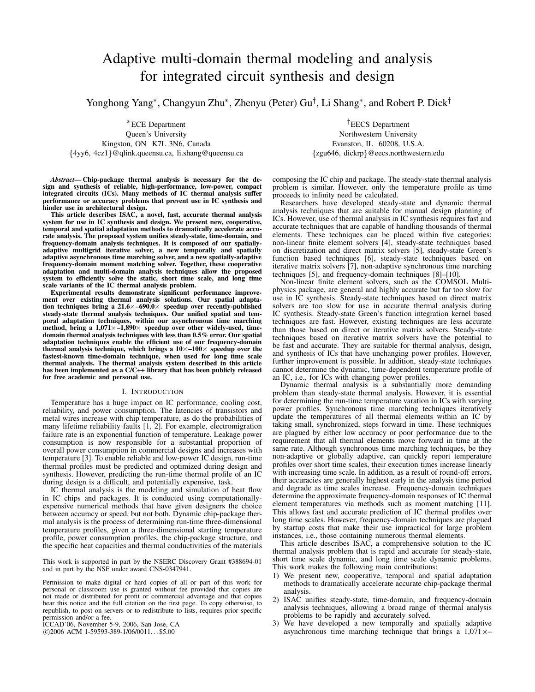# Adaptive multi-domain thermal modeling and analysis for integrated circuit synthesis and design

Yonghong Yang\*, Changyun Zhu\*, Zhenyu (Peter) Gu<sup>†</sup>, Li Shang\*, and Robert P. Dick<sup>†</sup>

 ECE Department Queen's University Kingston, ON K7L 3N6, Canada <sup>f</sup>4yy6, 4cz1g@qlink.queensu.ca, li.shang@queensu.ca

EECS Department Northwestern University Evanston, IL 60208, U.S.A. {zgu646, dickrp}@eecs.northwestern.edu

*Abstract***— Chip-package thermal analysis is necessary for the design and synthesis of reliable, high-performance, low-power, compact integrated circuits (ICs). Many methods of IC thermal analysis suffer performance or accuracy problems that prevent use in IC synthesis and hinder use in architectural design.**

**This article describes ISAC, a novel, fast, accurate thermal analysis system for use in IC synthesis and design. We present new, cooperative, temporal and spatial adaptation methods to dramatically accelerate accurate analysis. The proposed system unifies steady-state, time-domain, and frequency-domain analysis techniques. It is composed of our spatiallyadaptive multigrid iterative solver, a new temporally and spatially adaptive asynchronous time marching solver, and a new spatially-adaptive frequency-domain moment matching solver. Together, these cooperative adaptation and multi-domain analysis techniques allow the proposed system to efficiently solve the static, short time scale, and long time scale variants of the IC thermal analysis problem.**

**Experimental results demonstrate significant performance improvement over existing thermal analysis solutions. Our spatial adaptation techniques bring a 21.6**-**–690.0**- **speedup over recently-published steady-state thermal analysis techniques. Our unified spatial and temporal adaptation techniques, within our asynchronous time marching** method, bring a 1,071×-1,890× speedup over other widely-used, time**domain thermal analysis techniques with less than 0.5% error. Our spatial adaptation techniques enable the efficient use of our frequency-domain** thermal analysis technique, which brings a  $10 \times -100 \times$  speedup over the **fastest-known time-domain technique, when used for long time scale thermal analysis. The thermal analysis system described in this article has been implemented as a C/C++ library that has been publicly released for free academic and personal use.**

## I. INTRODUCTION

Temperature has a huge impact on IC performance, cooling cost, reliability, and power consumption. The latencies of transistors and metal wires increase with chip temperature, as do the probabilities of many lifetime reliability faults [1, 2]. For example, electromigration failure rate is an exponential function of temperature. Leakage power consumption is now responsible for a substantial proportion of overall power consumption in commercial designs and increases with temperature [3]. To enable reliable and low-power IC design, run-time thermal profiles must be predicted and optimized during design and synthesis. However, predicting the run-time thermal profile of an IC during design is a difficult, and potentially expensive, task.

IC thermal analysis is the modeling and simulation of heat flow in IC chips and packages. It is conducted using computationallyexpensive numerical methods that have given designers the choice between accuracy or speed, but not both. Dynamic chip-package thermal analysis is the process of determining run-time three-dimensional temperature profiles, given a three-dimensional starting temperature profile, power consumption profiles, the chip-package structure, and the specific heat capacities and thermal conductivities of the materials

This work is supported in part by the NSERC Discovery Grant #388694-01 and in part by the NSF under award CNS-0347941.

Permission to make digital or hard copies of all or part of this work for personal or classroom use is granted without fee provided that copies are not made or distributed for profit or commercial advantage and that copies bear this notice and the full citation on the first page. To copy otherwise, to republish, to post on servers or to redistribute to lists, requires prior specific permission and/or a fee.

ICCAD'06, November 5-9, 2006, San Jose, CA

c 2006 ACM 1-59593-389-1/06/0011. . . \$5.00

composing the IC chip and package. The steady-state thermal analysis problem is similar. However, only the temperature profile as time proceeds to infinity need be calculated.

Researchers have developed steady-state and dynamic thermal analysis techniques that are suitable for manual design planning of ICs. However, use of thermal analysis in IC synthesis requires fast and accurate techniques that are capable of handling thousands of thermal elements. These techniques can be placed within five categories: non-linear finite element solvers [4], steady-state techniques based on discretization and direct matrix solvers [5], steady-state Green's function based techniques [6], steady-state techniques based on iterative matrix solvers [7], non-adaptive synchronous time marching techniques [5], and frequency-domain techniques [8]–[10].

Non-linear finite element solvers, such as the COMSOL Multiphysics package, are general and highly accurate but far too slow for use in IC synthesis. Steady-state techniques based on direct matrix solvers are too slow for use in accurate thermal analysis during IC synthesis. Steady-state Green's function integration kernel based techniques are fast. However, existing techniques are less accurate than those based on direct or iterative matrix solvers. Steady-state techniques based on iterative matrix solvers have the potential to be fast and accurate. They are suitable for thermal analysis, design, and synthesis of ICs that have unchanging power profiles. However, further improvement is possible. In addition, steady-state techniques cannot determine the dynamic, time-dependent temperature profile of an IC, i.e., for ICs with changing power profiles.

Dynamic thermal analysis is a substantially more demanding problem than steady-state thermal analysis. However, it is essential for determining the run-time temperature varation in ICs with varying power profiles. Synchronous time marching techniques iteratively update the temperatures of all thermal elements within an IC by taking small, synchronized, steps forward in time. These techniques are plagued by either low accuracy or poor performance due to the requirement that all thermal elements move forward in time at the same rate. Although synchronous time marching techniques, be they non-adaptive or globally adaptive, can quickly report temperature profiles over short time scales, their execution times increase linearly with increasing time scale. In addition, as a result of round-off errors, their accuracies are generally highest early in the analysis time period and degrade as time scales increase. Frequency-domain techniques determine the approximate frequency-domain responses of IC thermal element temperatures via methods such as moment matching [11]. This allows fast and accurate prediction of IC thermal profiles over long time scales. However, frequency-domain techniques are plagued by startup costs that make their use impractical for large problem instances, i.e., those containing numerous thermal elements.

This article describes ISAC, a comprehensive solution to the IC thermal analysis problem that is rapid and accurate for steady-state, short time scale dynamic, and long time scale dynamic problems. This work makes the following main contributions:

- 1) We present new, cooperative, temporal and spatial adaptation methods to dramatically accelerate accurate chip-package thermal analysis.
- 2) ISAC unifies steady-state, time-domain, and frequency-domain analysis techniques, allowing a broad range of thermal analysis problems to be rapidly and accurately solved.
- We have developed a new temporally and spatially adaptive asynchronous time marching technique that brings a  $1,071 \times -$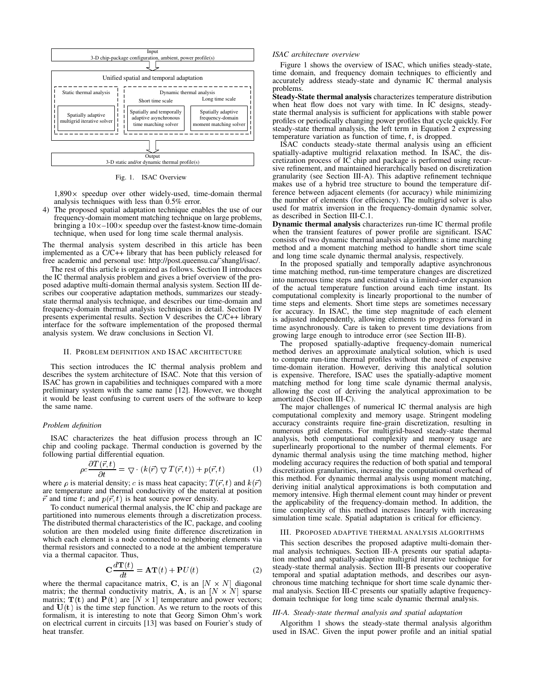

Fig. 1. ISAC Overview

1,890 x speedup over other widely-used, time-domain thermal analysis techniques with less than 0.5% error.

4) The proposed spatial adaptation technique enables the use of our frequency-domain moment matching technique on large problems, bringing a  $10\times$  -100 $\times$  speedup over the fastest-know time-domain technique, when used for long time scale thermal analysis.

The thermal analysis system described in this article has been implemented as a C/C++ library that has been publicly released for free academic and personal use: http://post.queensu.ca/˜shangl/isac/.

The rest of this article is organized as follows. Section II introduces the IC thermal analysis problem and gives a brief overview of the proposed adaptive multi-domain thermal analysis system. Section III describes our cooperative adaptation methods, summarizes our steadystate thermal analysis technique, and describes our time-domain and frequency-domain thermal analysis techniques in detail. Section IV presents experimental results. Section V describes the C/C++ library interface for the software implementation of the proposed thermal analysis system. We draw conclusions in Section VI.

#### II. PROBLEM DEFINITION AND ISAC ARCHITECTURE

This section introduces the IC thermal analysis problem and describes the system architecture of ISAC. Note that this version of ISAC has grown in capabilities and techniques compared with a more preliminary system with the same name [12]. However, we thought it would be least confusing to current users of the software to keep the same name.

# *Problem definition*

ISAC characterizes the heat diffusion process through an IC chip and cooling package. Thermal conduction is governed by the following partial differential equation.

$$
\rho c \frac{\partial T(\vec{r},t)}{\partial t} = \nabla \cdot (k(\vec{r}) \nabla T(\vec{r},t)) + p(\vec{r},t)
$$
 (1)

where  $\rho$  is material density; c is mass heat capacity;  $T(\vec{r}, t)$  and  $k(\vec{r})$ are temperature and thermal conductivity of the material at position  $\vec{r}$  and time t; and  $p(\vec{r}, t)$  is heat source power density.

To conduct numerical thermal analysis, the IC chip and package are partitioned into numerous elements through a discretization process. The distributed thermal characteristics of the IC, package, and cooling solution are then modeled using finite difference discretization in which each element is a node connected to neighboring elements via thermal resistors and connected to a node at the ambient temperature via a thermal capacitor. Thus,

$$
\mathbf{C}\frac{d\mathbf{T}(t)}{dt} = \mathbf{A}\mathbf{T}(t) + \mathbf{P}U(t)
$$
 (2)

where the thermal capacitance matrix, C, is an  $[N \times N]$  diagonal matrix; the thermal conductivity matrix, **A**, is an  $[N \times N]$  sparse matrix;  $T(t)$  and  $P(t)$  are  $[N \times 1]$  temperature and power vectors; and  $U(t)$  is the time step function. As we return to the roots of this formalism, it is interesting to note that Georg Simon Ohm's work on electrical current in circuits [13] was based on Fourier's study of heat transfer.

#### *ISAC architecture overview*

Figure 1 shows the overview of ISAC, which unifies steady-state, time domain, and frequency domain techniques to efficiently and accurately address steady-state and dynamic IC thermal analysis problems.

**Steady-State thermal analysis** characterizes temperature distribution when heat flow does not vary with time. In IC designs, steadystate thermal analysis is sufficient for applications with stable power profiles or periodically changing power profiles that cycle quickly. For steady-state thermal analysis, the left term in Equation 2 expressing temperature variation as function of time, <sup>t</sup>, is dropped.

ISAC conducts steady-state thermal analysis using an efficient spatially-adaptive multigrid relaxation method. In ISAC, the discretization process of IC chip and package is performed using recursive refinement, and maintained hierarchically based on discretization granularity (see Section III-A). This adaptive refinement technique makes use of a hybrid tree structure to bound the temperature difference between adjacent elements (for accuracy) while minimizing the number of elements (for efficiency). The multigrid solver is also used for matrix inversion in the frequency-domain dynamic solver, as described in Section III-C.1.

**Dynamic thermal analysis** characterizes run-time IC thermal profile when the transient features of power profile are significant. ISAC consists of two dynamic thermal analysis algorithms: a time marching method and a moment matching method to handle short time scale and long time scale dynamic thermal analysis, respectively.

In the proposed spatially and temporally adaptive asynchronous time matching method, run-time temperature changes are discretized into numerous time steps and estimated via a limited-order expansion of the actual temperature function around each time instant. Its computational complexity is linearly proportional to the number of time steps and elements. Short time steps are sometimes necessary for accuracy. In ISAC, the time step magnitude of each element is adjusted independently, allowing elements to progress forward in time asynchronously. Care is taken to prevent time deviations from growing large enough to introduce error (see Section III-B).

The proposed spatially-adaptive frequency-domain numerical method derives an approximate analytical solution, which is used to compute run-time thermal profiles without the need of expensive time-domain iteration. However, deriving this analytical solution is expensive. Therefore, ISAC uses the spatially-adaptive moment matching method for long time scale dynamic thermal analysis, allowing the cost of deriving the analytical approximation to be amortized (Section III-C).

The major challenges of numerical IC thermal analysis are high computational complexity and memory usage. Stringent modeling accuracy constraints require fine-grain discretization, resulting in numerous grid elements. For multigrid-based steady-state thermal analysis, both computational complexity and memory usage are superlinearly proportional to the number of thermal elements. For dynamic thermal analysis using the time matching method, higher modeling accuracy requires the reduction of both spatial and temporal discretization granularities, increasing the computational overhead of this method. For dynamic thermal analysis using moment matching, deriving initial analytical approximations is both computation and memory intensive. High thermal element count may hinder or prevent the applicability of the frequency-domain method. In addition, the time complexity of this method increases linearly with increasing simulation time scale. Spatial adaptation is critical for efficiency.

## III. PROPOSED ADAPTIVE THERMAL ANALYSIS ALGORITHMS

This section describes the proposed adaptive multi-domain thermal analysis techniques. Section III-A presents our spatial adaptation method and spatially-adaptive multigrid iterative technique for steady-state thermal analysis. Section III-B presents our cooperative temporal and spatial adaptation methods, and describes our asynchronous time matching technique for short time scale dynamic thermal analysis. Section III-C presents our spatially adaptive frequencydomain technique for long time scale dynamic thermal analysis.

#### *III-A. Steady-state thermal analysis and spatial adaptation*

Algorithm 1 shows the steady-state thermal analysis algorithm used in ISAC. Given the input power profile and an initial spatial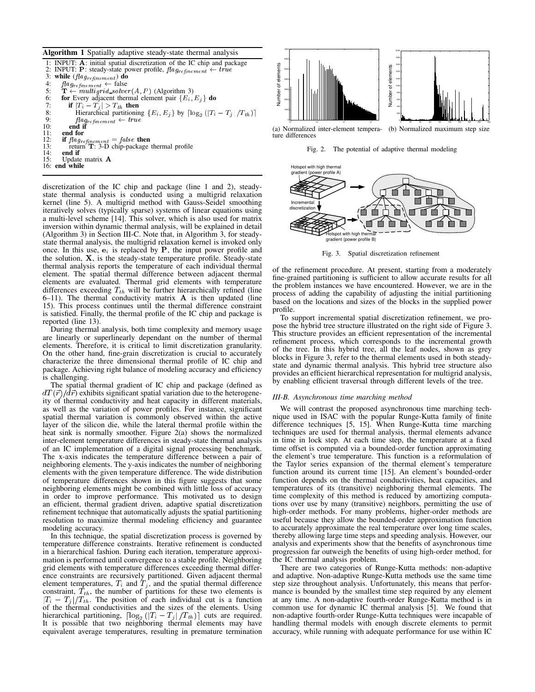**Algorithm 1** Spatially adaptive steady-state thermal analysis

1: INPUT: **A**: initial spatial discretization of the IC chip and package 2: INPUT: **P**: steady-state power profile,  $flag_{refnement} \leftarrow true$ 2: INPUT: **P**: steady-state power profile,  $\text{flag}_{\text{refine} \text{men } t} \leftarrow \text{true}$ 3: while  $(\text{flag}_{\text{refine}\text{ }\text{me}\text{ }\text{nt}})$  do 4:  $\frac{flag_{refinement}}{4} \leftarrow false$ 5:  $\mathbf{T} \leftarrow \text{multiprid\_solver}(A, P)$  (Algorithm 3)<br>6: **for** Every adjacent thermal element pair  $\{E_i\}$ , 6: **for** Every adjacent thermal element pair  $\{E_i, E_j\}$  **do**<br>7: **if**  $|T_i - T_j| > T_{th}$  **then** if  $|T_i - T_j| > T_{th}$  then 8: Hierarchical partitioning  $\{E_i, E_j\}$  by  $\lceil \log_2(|T_i - T_j|/T_{th}) \rceil$ <br>9:  $\text{flag}_{\text{refinement}} \leftarrow \text{true}$ 9:  $\int_{\text{rad}}^{\text{rad}} \text{r} \cdot \text{r} \cdot \text{r} \cdot \text{r} \cdot \text{r} \cdot \text{r} \cdot \text{r} \cdot \text{r} \cdot \text{r} \cdot \text{r} \cdot \text{r} \cdot \text{r} \cdot \text{r} \cdot \text{r} \cdot \text{r} \cdot \text{r} \cdot \text{r} \cdot \text{r} \cdot \text{r} \cdot \text{r} \cdot \text{r} \cdot \text{r} \cdot \text{r} \cdot \text{r} \cdot \text{r} \cdot \text{r} \cdot \text{r} \cdot \text{r} \cdot \text{r} \cdot$ 10: **end if** 11: **end for**<br>12: **if**  $flag_{re\,finement} = false$  **then** 13: return **T**: 3-D chip-package thermal profile 14: **end if** Update matrix A 16: **end while**

discretization of the IC chip and package (line 1 and 2), steadystate thermal analysis is conducted using a multigrid relaxation kernel (line 5). A multigrid method with Gauss-Seidel smoothing iteratively solves (typically sparse) systems of linear equations using a multi-level scheme [14]. This solver, which is also used for matrix inversion within dynamic thermal analysis, will be explained in detail (Algorithm 3) in Section III-C. Note that, in Algorithm 3, for steadystate thermal analysis, the multigrid relaxation kernel is invoked only once. In this use,  $e_i$  is replaced by  $P$ , the input power profile and the solution,  $X$ , is the steady-state temperature profile. Steady-state thermal analysis reports the temperature of each individual thermal element. The spatial thermal difference between adjacent thermal elements are evaluated. Thermal grid elements with temperature differences exceeding  $T_{th}$  will be further hierarchically refined (line  $6-11$ ). The thermal conductivity matrix  $A$  is then updated (line 15). This process continues until the thermal difference constraint is satisfied. Finally, the thermal profile of the IC chip and package is reported (line 13).

During thermal analysis, both time complexity and memory usage are linearly or superlinearly dependant on the number of thermal elements. Therefore, it is critical to limit discretization granularity. On the other hand, fine-grain discretization is crucial to accurately characterize the three dimensional thermal profile of IC chip and package. Achieving right balance of modeling accuracy and efficiency is challenging.

The spatial thermal gradient of IC chip and package (defined as  $dT(\vec{r})/\vec{dr}$  exhibits significant spatial variation due to the heterogeneity of thermal conductivity and heat capacity in different materials, as well as the variation of power profiles. For instance, significant spatial thermal variation is commonly observed within the active layer of the silicon die, while the lateral thermal profile within the heat sink is normally smoother. Figure 2(a) shows the normalized inter-element temperature differences in steady-state thermal analysis of an IC implementation of a digital signal processing benchmark. The x-axis indicates the temperature difference between a pair of neighboring elements. The y-axis indicates the number of neighboring elements with the given temperature difference. The wide distribution of temperature differences shown in this figure suggests that some neighboring elements might be combined with little loss of accuracy in order to improve performance. This motivated us to design an efficient, thermal gradient driven, adaptive spatial discretization refinement technique that automatically adjusts the spatial partitioning resolution to maximize thermal modeling efficiency and guarantee modeling accuracy.

In this technique, the spatial discretization process is governed by temperature difference constraints. Iterative refinement is conducted in a hierarchical fashion. During each iteration, temperature approximation is performed until convergence to a stable profile. Neighboring grid elements with temperature differences exceeding thermal difference constraints are recursively partitioned. Given adjacent thermal element temperatures,  $T_i$  and  $T_j$ , and the spatial thermal difference constraint,  $\overline{T}_{th}$ , the number of partitions for these two elements is  $|T_i - T_j|/T_{th}$ . The position of each individual cut is a function of the thermal conductivities and the sizes of the elements. Using hierarchical partitioning,  $\lceil \log_2 (|T_i - T_i| / T_{th}) \rceil$  cuts are required. It is possible that two neighboring thermal elements may have equivalent average temperatures, resulting in premature termination



(a) Normalized inter-element tempera-(b) Normalized maximum step size ture differences

Fig. 2. The potential of adaptive thermal modeling



Fig. 3. Spatial discretization refinement

of the refinement procedure. At present, starting from a moderately fine-grained partitioning is sufficient to allow accurate results for all the problem instances we have encountered. However, we are in the process of adding the capability of adjusting the initial partitioning based on the locations and sizes of the blocks in the supplied power profile.

To support incremental spatial discretization refinement, we propose the hybrid tree structure illustrated on the right side of Figure 3. This structure provides an efficient representation of the incremental refinement process, which corresponds to the incremental growth of the tree. In this hybrid tree, all the leaf nodes, shown as grey blocks in Figure 3, refer to the thermal elements used in both steadystate and dynamic thermal analysis. This hybrid tree structure also provides an efficient hierarchical representation for multigrid analysis, by enabling efficient traversal through different levels of the tree.

## *III-B. Asynchronous time marching method*

We will contrast the proposed asynchronous time marching technique used in ISAC with the popular Runge-Kutta family of finite difference techniques [5, 15]. When Runge-Kutta time marching techniques are used for thermal analysis, thermal elements advance in time in lock step. At each time step, the temperature at a fixed time offset is computed via a bounded-order function approximating the element's true temperature. This function is a reformulation of the Taylor series expansion of the thermal element's temperature function around its current time [15]. An element's bounded-order function depends on the thermal conductivities, heat capacities, and temperatures of its (transitive) neighboring thermal elements. The time complexity of this method is reduced by amortizing computations over use by many (transitive) neighbors, permitting the use of high-order methods. For many problems, higher-order methods are useful because they allow the bounded-order approximation function to accurately approximate the real temperature over long time scales, thereby allowing large time steps and speeding analysis. However, our analysis and experiments show that the benefits of asynchronous time progression far outweigh the benefits of using high-order method, for the IC thermal analysis problem.

There are two categories of Runge-Kutta methods: non-adaptive and adaptive. Non-adaptive Runge-Kutta methods use the same time step size throughout analysis. Unfortunately, this means that performance is bounded by the smallest time step required by any element at any time. A non-adaptive fourth-order Runge-Kutta method is in common use for dynamic IC thermal analysis [5]. We found that non-adaptive fourth-order Runge-Kutta techniques were incapable of handling thermal models with enough discrete elements to permit accuracy, while running with adequate performance for use within IC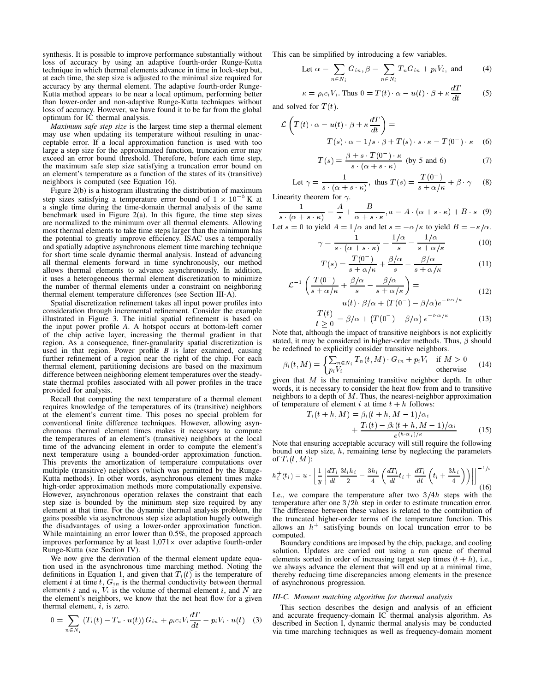synthesis. It is possible to improve performance substantially without loss of accuracy by using an adaptive fourth-order Runge-Kutta technique in which thermal elements advance in time in lock-step but, at each time, the step size is adjusted to the minimal size required for accuracy by any thermal element. The adaptive fourth-order Runge-Kutta method appears to be near a local optimum, performing better than lower-order and non-adaptive Runge-Kutta techniques without loss of accuracy. However, we have found it to be far from the global optimum for IC thermal analysis.

*Maximum safe step size* is the largest time step a thermal element may use when updating its temperature without resulting in unacceptable error. If a local approximation function is used with too large a step size for the approximated function, truncation error may exceed an error bound threshold. Therefore, before each time step, the maximum safe step size satisfying a truncation error bound on an element's temperature as a function of the states of its (transitive) neighbors is computed (see Equation 16).

Figure 2(b) is a histogram illustrating the distribution of maximum step sizes satisfying a temperature error bound of  $1 \times 10^{-5}$  K at a single time during the time-domain thermal analysis of the same benchmark used in Figure 2(a). In this figure, the time step sizes are normalized to the minimum over all thermal elements. Allowing most thermal elements to take time steps larger than the minimum has the potential to greatly improve efficiency. ISAC uses a temporally and spatially adaptive asynchronous element time marching technique for short time scale dynamic thermal analysis. Instead of advancing all thermal elements forward in time synchronously, our method allows thermal elements to advance asynchronously. In addition, it uses a heterogeneous thermal element discretization to minimize the number of thermal elements under a constraint on neighboring thermal element temperature differences (see Section III-A).

Spatial discretization refinement takes all input power profiles into consideration through incremental refinement. Consider the example illustrated in Figure 3. The initial spatial refinement is based on the input power profile *A*. A hotspot occurs at bottom-left corner of the chip active layer, increasing the thermal gradient in that region. As a consequence, finer-granularity spatial discretization is used in that region. Power profile *B* is later examined, causing further refinement of a region near the right of the chip. For each thermal element, partitioning decisions are based on the maximum difference between neighboring element temperatures over the steadystate thermal profiles associated with all power profiles in the trace provided for analysis.

Recall that computing the next temperature of a thermal element requires knowledge of the temperatures of its (transitive) neighbors at the element's current time. This poses no special problem for conventional finite difference techniques. However, allowing asynchronous thermal element times makes it necessary to compute the temperatures of an element's (transitive) neighbors at the local time of the advancing element in order to compute the element's next temperature using a bounded-order approximation function. This prevents the amortization of temperature computations over multiple (transitive) neighbors (which was permitted by the Runge-Kutta methods). In other words, asynchronous element times make high-order approximation methods more computationally expensive. However, asynchronous operation relaxes the constraint that each step size is bounded by the minimum step size required by any element at that time. For the dynamic thermal analysis problem, the gains possible via asynchronous step size adaptation hugely outweigh the disadvantages of using a lower-order approximation function. While maintaining an error lower than 0.5%, the proposed approach improves performance by at least  $1,071 \times$  over adaptive fourth-order Runge-Kutta (see Section IV).

We now give the derivation of the thermal element update equation used in the asynchronous time marching method. Noting the definitions in Equation 1, and given that  $T_i(t)$  is the temperature of element i at time  $t, G_{in}$  is the thermal conductivity between thermal elements i and n,  $V_i$  is the volume of thermal element i, and N are the element's neighbors, we know that the net heat flow for a given thermal element, <sup>i</sup>, is zero.

$$
0 = \sum_{n \in N_i} (T_i(t) - T_n \cdot u(t)) G_{in} + \rho_i c_i V_i \frac{dT}{dt} - p_i V_i \cdot u(t) \quad (3)
$$

This can be simplified by introducing a few variables.

Let 
$$
\alpha = \sum_{n \in N_i} G_{in}, \beta = \sum_{n \in N_i} T_n G_{in} + p_i V_i
$$
, and (4)

$$
\kappa = \rho_i c_i V_i. \text{ Thus } 0 = T(t) \cdot \alpha - u(t) \cdot \beta + \kappa \frac{dT}{dt} \tag{5}
$$

and solved for  $T(t)$ .

$$
\mathcal{L}\left(T(t)\cdot\alpha - u(t)\cdot\beta + \kappa \frac{dT}{dt}\right) =
$$
  
\n
$$
T(s)\cdot\alpha - 1/s\cdot\beta + T(s)\cdot s\cdot\kappa - T(0^-)\cdot\kappa \quad (6)
$$

$$
T(s) = \frac{\beta + s \cdot T(0^-) \cdot \kappa}{s \cdot (\alpha + s \cdot \kappa)} \text{ (by 5 and 6)} \tag{7}
$$

Let 
$$
\gamma = \frac{1}{s \cdot (\alpha + s \cdot \kappa)}
$$
, thus  $T(s) = \frac{T(0^{-})}{s + \alpha/\kappa} + \beta \cdot \gamma$  (8)

Linearity theorem for  $\gamma$ .

 $\mathcal{L}^{-1}$ 

 $\overline{t}$ 

$$
\frac{1}{s \cdot (\alpha + s \cdot \kappa)} = \frac{A}{s} + \frac{B}{\alpha + s \cdot \kappa}, a = A \cdot (\alpha + s \cdot \kappa) + B \cdot s \quad (9)
$$

Let 
$$
s = 0
$$
 to yield  $A = 1/\alpha$  and let  $s = -\alpha/\kappa$  to yield  $B = -\kappa/\alpha$ .  

$$
\gamma = \frac{1}{\kappa} = \frac{1/\alpha}{\kappa} = \frac{1/\alpha}{\kappa} \tag{10}
$$

$$
\gamma = \frac{1}{s \cdot (\alpha + s \cdot \kappa)} = \frac{1/\alpha}{s} - \frac{1/\alpha}{s + \alpha/\kappa}
$$
(10)  

$$
T(s) = \frac{T(0^{-})}{s} + \frac{\beta/\alpha}{s} - \frac{\beta/\alpha}{s'}
$$
(11)

$$
T(s) = \frac{T(s)}{s + \alpha/\kappa} + \frac{\beta/\alpha}{s} - \frac{\beta/\alpha}{s + \alpha/\kappa}
$$
(11)  

$$
\int T(0^-) = \beta/\alpha - \beta/\alpha
$$

$$
\frac{T(0^-)}{s + \alpha/\kappa} + \frac{\beta/\alpha}{s} - \frac{\beta/\alpha}{s + \alpha/\kappa} =
$$
  
 
$$
u(t) \cdot \beta/\alpha + (T(0^-) - \beta/\alpha)e^{-t \cdot \alpha/\kappa}
$$
 (12)

$$
\frac{T(t)}{t \ge 0} = \beta/\alpha + \left(T(0^-) - \beta/\alpha\right)e^{-t \cdot \alpha/\kappa} \tag{13}
$$

Note that, although the impact of transitive neighbors is not explicitly stated, it may be considered in higher-order methods. Thus,  $\beta$  should be redefined to explicitly consider transitive neighbors.

$$
\beta_i(t, M) = \begin{cases} \sum_{n \in N_i} T_n(t, M) \cdot G_{in} + p_i V_i & \text{if } M > 0\\ p_i V_i & \text{otherwise} \end{cases}
$$
(14)

given that  $M$  is the remaining transitive neighbor depth. In other words, it is necessary to consider the heat flow from and to transitive neighbors to a depth of  $M$ . Thus, the nearest-neighbor approximation of temperature of element i at time  $t + h$  follows:

$$
T_i(t+h,M)=\beta_i(t+h,M-1)/\alpha_i
$$

$$
+\frac{T_i(t)-\beta_i(t+h,M-1)/\alpha_i}{e^{(h\cdot\alpha_i)/\kappa}}\tag{15}
$$

Note that ensuring acceptable accuracy will still require the following bound on step size,  $h$ , remaining terse by neglecting the parameters of  $T_i(t, M)$ :

$$
h_i^+(t_i) = u \cdot \left[ \frac{1}{y} \left| \frac{dT_i}{dt} \frac{3t_i h_i}{2} - \frac{3h_i}{4} \left( \frac{dT_i}{dt} t_i + \frac{dT_i}{dt} \left( t_i + \frac{3h_i}{4} \right) \right) \right| \right]^{-1/v}
$$
(16)

I.e., we compare the temperature after two  $3/4h$  steps with the temperature after one  $3/2h$  step in order to estimate truncation error. The difference between these values is related to the contribution of the truncated higher-order terms of the temperature function. This allows an  $h^+$  satisfying bounds on local truncation error to be computed.

Boundary conditions are imposed by the chip, package, and cooling solution. Updates are carried out using a run queue of thermal elements sorted in order of increasing target step times  $(t + h)$ , i.e., we always advance the element that will end up at a minimal time, thereby reducing time discrepancies among elements in the presence of asynchronous progression.

#### *III-C. Moment matching algorithm for thermal analysis*

This section describes the design and analysis of an efficient and accurate frequency-domain IC thermal analysis algorithm. As described in Section I, dynamic thermal analysis may be conducted via time marching techniques as well as frequency-domain moment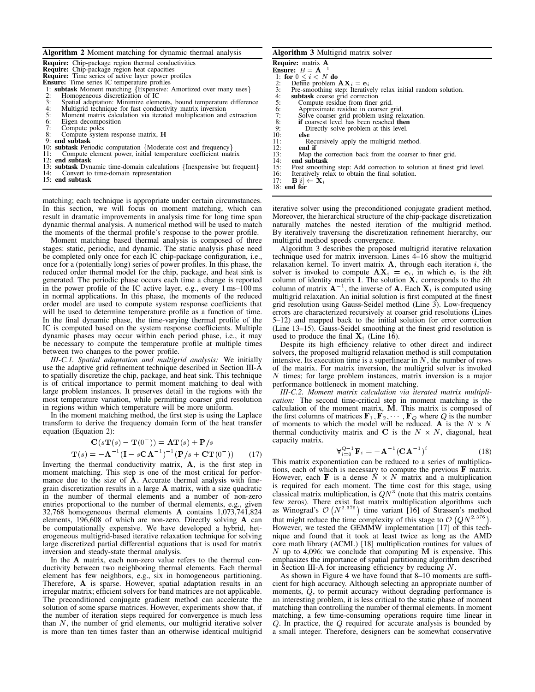| <b>Algorithm 2</b> Moment matching for dynamic thermal analysis                                                   | <b>Algorithm 3</b> Multigrid matrix solver                                   |  |  |  |  |
|-------------------------------------------------------------------------------------------------------------------|------------------------------------------------------------------------------|--|--|--|--|
| <b>Require:</b> Chip-package region thermal conductivities<br><b>Require:</b> Chip-package region heat capacities | <b>Require:</b> matrix <b>A</b><br><b>Ensure:</b> $B = A^{-1}$               |  |  |  |  |
| <b>Require:</b> Time series of active layer power profiles                                                        | 1: for $0 \leq i \leq N$ do                                                  |  |  |  |  |
| <b>Ensure:</b> Time series IC temperature profiles                                                                | Define problem $AX_i = e_i$                                                  |  |  |  |  |
| 1: subtask Moment matching {Expensive: Amortized over many uses}                                                  | Pre-smoothing step: Iteratively relax initial random solution.<br>3:         |  |  |  |  |
| Homogeneous discretization of IC<br>2:                                                                            | subtask coarse grid correction<br>4:                                         |  |  |  |  |
| Spatial adaptation: Minimize elements, bound temperature difference<br>3:                                         | Compute residue from finer grid.                                             |  |  |  |  |
| Multigrid technique for fast conductivity matrix inversion<br>4:                                                  | Approximate residue in coarser grid.<br>6:                                   |  |  |  |  |
| Moment matrix calculation via iterated multiplication and extraction<br>5:                                        | 7:<br>Solve coarser grid problem using relaxation.                           |  |  |  |  |
| Eigen decomposition<br>6:                                                                                         | if coarsest level has been reached then<br>8:                                |  |  |  |  |
| 7:<br>Compute poles                                                                                               | 9:<br>Directly solve problem at this level.                                  |  |  |  |  |
| 8:<br>Compute system response matrix, H                                                                           | 10:<br>else                                                                  |  |  |  |  |
| 9: end subtask                                                                                                    | 11:<br>Recursively apply the multigrid method.                               |  |  |  |  |
| 10: subtask Periodic computation {Moderate cost and frequency}                                                    | 12:<br>end if                                                                |  |  |  |  |
| Compute element power, initial temperature coefficient matrix                                                     | 13:<br>Map the correction back from the coarser to finer grid.               |  |  |  |  |
| 12: end subtask                                                                                                   | 14:<br>end subtask                                                           |  |  |  |  |
| 13: <b>subtask</b> Dynamic time-domain calculations {Inexpensive but frequent}                                    | 15:<br>Post smoothing step: Add correction to solution at finest grid level. |  |  |  |  |
| 14: Convert to time-domain representation                                                                         | Iteratively relax to obtain the final solution.<br>16:                       |  |  |  |  |
| 15: end subtask                                                                                                   | $\mathbf{B}[i] \leftarrow \mathbf{X}_i$<br>17:                               |  |  |  |  |
|                                                                                                                   | 18:<br>end for                                                               |  |  |  |  |

matching; each technique is appropriate under certain circumstances. In this section, we will focus on moment matching, which can result in dramatic improvements in analysis time for long time span dynamic thermal analysis. A numerical method will be used to match the moments of the thermal profile's response to the power profile.

Moment matching based thermal analysis is composed of three stages: static, periodic, and dynamic. The static analysis phase need be completed only once for each IC chip-package configuration, i.e., once for a (potentially long) series of power profiles. In this phase, the reduced order thermal model for the chip, package, and heat sink is generated. The periodic phase occurs each time a change is reported in the power profile of the IC active layer, e.g., every 1 ms–100 ms in normal applications. In this phase, the moments of the reduced order model are used to compute system response coefficients that will be used to determine temperature profile as a function of time. In the final dynamic phase, the time-varying thermal profile of the IC is computed based on the system response coefficients. Multiple dynamic phases may occur within each period phase, i.e., it may be necessary to compute the temperature profile at multiple times between two changes to the power profile.

*III-C.1. Spatial adaptation and multigrid analysis:* We initially use the adaptive grid refinement technique described in Section III-A to spatially discretize the chip, package, and heat sink. This technique is of critical importance to permit moment matching to deal with large problem instances. It preserves detail in the regions with the most temperature variation, while permitting coarser grid resolution in regions within which temperature will be more uniform.

In the moment matching method, the first step is using the Laplace transform to derive the frequency domain form of the heat transfer equation (Equation 2):

$$
\mathbf{C}(s\mathbf{T}(s) - \mathbf{T}(0^{-})) = \mathbf{A}\mathbf{T}(s) + \mathbf{P}/s
$$

$$
\mathbf{T}(s) = -\mathbf{A}^{-1}(\mathbf{I} - s\mathbf{C}\mathbf{A}^{-1})^{-1}(\mathbf{P}/s + \mathbf{C}\mathbf{T}(0^{-})) \tag{17}
$$

Inverting the thermal conductivity matrix, <sup>A</sup>, is the first step in moment matching. This step is one of the most critical for performance due to the size of  $\tilde{A}$ . Accurate thermal analysis with finegrain discretization results in a large <sup>A</sup> matrix, with a size quadratic in the number of thermal elements and a number of non-zero entries proportional to the number of thermal elements, e.g., given 32,768 homogeneous thermal elements <sup>A</sup> contains 1,073,741,824 elements, 196,608 of which are non-zero. Directly solving <sup>A</sup> can be computationally expensive. We have developed a hybrid, heterogeneous multigrid-based iterative relaxation technique for solving large discretized partial differential equations that is used for matrix inversion and steady-state thermal analysis.

In the A matrix, each non-zero value refers to the thermal conductivity between two neighboring thermal elements. Each thermal element has few neighbors, e.g., six in homogeneous partitioning. Therefore, <sup>A</sup> is sparse. However, spatial adaptation results in an irregular matrix; efficient solvers for band matrices are not applicable. The preconditioned conjugate gradient method can accelerate the solution of some sparse matrices. However, experiments show that, if the number of iteration steps required for convergence is much less than  $N$ , the number of grid elements, our multigrid iterative solver is more than ten times faster than an otherwise identical multigrid

iterative solver using the preconditioned conjugate gradient method. Moreover, the hierarchical structure of the chip-package discretization naturally matches the nested iteration of the multigrid method. By iteratively traversing the discretization refinement hierarchy, our multigrid method speeds convergence.

Algorithm 3 describes the proposed multigrid iterative relaxation technique used for matrix inversion. Lines 4–16 show the multigrid relaxation kernel. To invert matrix  $A$ , through each iteration  $i$ , the solver is invoked to compute  $AX_i = e_i$ , in which  $e_i$  is the *i*th column of identity matrix **I**. The solution  $X_i$  corresponds to the *i*th column of matrix  $A^{-1}$ , the inverse of A. Each  $X_i$  is computed using multigrid relaxation. An initial solution is first computed at the finest grid resolution using Gauss-Seidel method (Line 3). Low-frequency errors are characterized recursively at coarser grid resolutions (Lines 5–12) and mapped back to the initial solution for error correction (Line 13–15). Gauss-Seidel smoothing at the finest grid resolution is used to produce the final  $X_i$  (Line 16).

Despite its high efficiency relative to other direct and indirect solvers, the proposed multigrid relaxation method is still computation intensive. Its execution time is a superlinear in  $N$ , the number of rows of the matrix. For matrix inversion, the multigrid solver is invoked  $N$  times; for large problem instances, matrix inversion is a major performance bottleneck in moment matching.

*III-C.2. Moment matrix calculation via iterated matrix multiplication:* The second time-critical step in moment matching is the calculation of the moment matrix,  $\hat{M}$ . This matrix is composed of the first columns of matrices  $\mathbf{F}_1, \mathbf{F}_2, \cdots, \mathbf{F}_Q$  where Q is the number of moments to which the model will be reduced. A is the  $N \times N$ thermal conductivity matrix and C is the  $N \times N$ , diagonal, heat capacity matrix.

$$
\forall_{i=0}^{Q-1} \mathbf{F}_i = -\mathbf{A}^{-1} (\mathbf{C} \mathbf{A}^{-1})^i
$$
 (18)

This matrix exponentiation can be reduced to a series of multiplications, each of which is necessary to compute the previous <sup>F</sup> matrix. However, each **F** is a dense  $N \times N$  matrix and a multiplication is required for each moment. The time cost for this stage, using classical matrix multiplication, is  $QN^3$  (note that this matrix contains few zeros). There exist fast matrix multiplication algorithms such as Winograd's  $\mathcal{O}(N^{2.376})$  time variant [16] of Strassen's method that might reduce the time complexity of this stage to  $\mathcal{O}(QN^{2.376})$ . However, we tested the GEMMW implementation [17] of this technique and found that it took at least twice as long as the AMD core math library (ACML) [18] multiplication routines for values of  $N$  up to 4,096: we conclude that computing  $M$  is expensive. This emphasizes the importance of spatial partitioning algorithm described in Section III-A for increasing efficiency by reducing <sup>N</sup>.

As shown in Figure 4 we have found that 8–10 moments are sufficient for high accuracy. Although selecting an appropriate number of moments, Q, to permit accuracy without degrading performance is an interesting problem, it is less critical to the static phase of moment matching than controlling the number of thermal elements. In moment matching, a few time-consuming operations require time linear in <sup>Q</sup>. In practice, the <sup>Q</sup> required for accurate analysis is bounded by a small integer. Therefore, designers can be somewhat conservative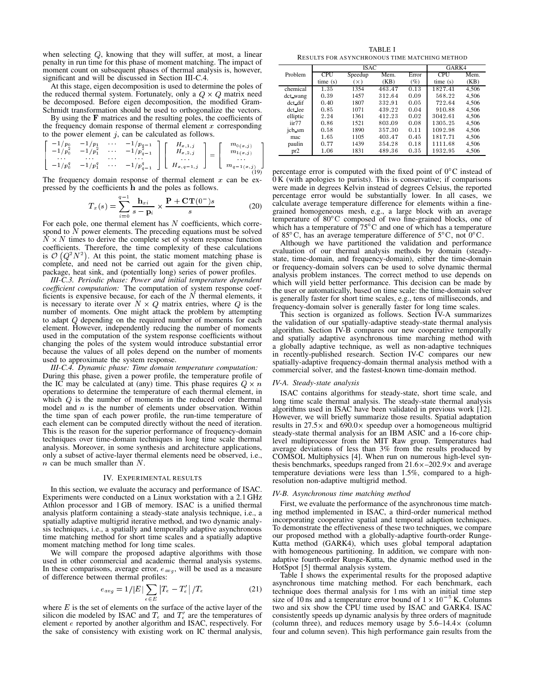when selecting  $Q$ , knowing that they will suffer, at most, a linear penalty in run time for this phase of moment matching. The impact of moment count on subsequent phases of thermal analysis is, however, significant and will be discussed in Section III-C.4.

At this stage, eigen decomposition is used to determine the poles of the reduced thermal system. Fortunately, only a  $Q \times Q$  matrix need be decomposed. Before eigen decomposition, the modified Gram-Schmidt transformation should be used to orthogonalize the vectors.

By using the <sup>F</sup> matrices and the resulting poles, the coefficients of the frequency domain response of thermal element  $x$  corresponding to the power element  $j$ , can be calculated as follows.

$$
\begin{bmatrix}\n-1/p_0 & -1/p_1 & \cdots & -1/p_{g-1} \\
-1/p_0^2 & -1/p_1^2 & \cdots & -1/p_{g-1}^2 \\
\cdots & \cdots & \cdots & \cdots \\
-1/p_0^2 & -1/p_1^q & \cdots & -1/p_{g-1}^q\n\end{bmatrix}\n\begin{bmatrix}\nH_{x,1,j} \\
H_{x,2,j} \\
\cdots \\
H_{x,q-1,j}\n\end{bmatrix} =\n\begin{bmatrix}\nm_{0(x,j)} \\
m_{1(x,j)} \\
\cdots \\
m_{q-1(x,j)}\n\end{bmatrix}
$$

The frequency domain response of thermal element  $x$  can be expressed by the coefficients <sup>h</sup> and the poles as follows.

$$
T_x(s) = \sum_{i=0}^{q-1} \frac{\mathbf{h}_{xi}}{s - \mathbf{p}_i} \times \frac{\mathbf{P} + \mathbf{C}\mathbf{T}(0^-)s}{s}
$$
(20)

For each pole, one thermal element has  $N$  coefficients, which correspond to  $N$  power elements. The preceding equations must be solved  $\overline{N} \times N$  times to derive the complete set of system response function coefficients. Therefore, the time complexity of these calculations is  $\mathcal{O}(Q^2N^2)$ . At this point, the static moment matching phase is complete, and need not be carried out again for the given chip, package, heat sink, and (potentially long) series of power profiles.

*III-C.3. Periodic phase: Power and initial temperature dependent coefficient computation:* The computation of system response coefficients is expensive because, for each of the  $N$  thermal elements, it is necessary to iterate over  $N \times Q$  matrix entries, where Q is the number of moments. One might attack the problem by attempting to adapt <sup>Q</sup> depending on the required number of moments for each element. However, independently reducing the number of moments used in the computation of the system response coefficients without changing the poles of the system would introduce substantial error because the values of all poles depend on the number of moments used to approximate the system response.

*III-C.4. Dynamic phase: Time domain temperature computation:* During this phase, given a power profile, the temperature profile of the IC may be calculated at (any) time. This phase requires  $Q \times n$ operations to determine the temperature of each thermal element, in which  $Q$  is the number of moments in the reduced order thermal model and  $n$  is the number of elements under observation. Within the time span of each power profile, the run-time temperature of each element can be computed directly without the need of iteration. This is the reason for the superior performance of frequency-domain techniques over time-domain techniques in long time scale thermal analysis. Moreover, in some synthesis and architecture applications, only a subset of active-layer thermal elements need be observed, i.e., <sup>n</sup> can be much smaller than <sup>N</sup>.

## IV. EXPERIMENTAL RESULTS

In this section, we evaluate the accuracy and performance of ISAC. Experiments were conducted on a Linux workstation with a 2.1 GHz Athlon processor and 1 GB of memory. ISAC is a unified thermal analysis platform containing a steady-state analysis technique, i.e., a spatially adaptive multigrid iterative method, and two dynamic analysis techniques, i.e., a spatially and temporally adaptive asynchronous time matching method for short time scales and a spatially adaptive moment matching method for long time scales.

We will compare the proposed adaptive algorithms with those used in other commercial and academic thermal analysis systems. In these comparisons, average error,  $e_{avg}$ , will be used as a measure of difference between thermal profiles:

$$
e_{avg} = 1/|E| \sum_{e \in E} |T_e - T'_e| / T_e
$$
 (21)

where  $E$  is the set of elements on the surface of the active layer of the silicon die modeled by ISAC and  $T_e$  and  $T'_e$  are the temperatures of element <sup>e</sup> reported by another algorithm and ISAC, respectively. For the sake of consistency with existing work on IC thermal analysis,

TABLE I RESULTS FOR ASYNCHRONOUS TIME MATCHING METHOD

|          |            | <b>ISAC</b> |        |        | GARK4   |       |
|----------|------------|-------------|--------|--------|---------|-------|
| Problem  | <b>CPU</b> | Speedup     | Mem.   | Error  | CPU     | Mem.  |
|          | time(s)    | $(\times)$  | (KB)   | $(\%)$ | time(s) | (KB)  |
| chemical | 1.35       | 1354        | 463.47 | 0.13   | 1827.41 | 4,506 |
| dct wang | 0.39       | 1457        | 312.64 | 0.09   | 568.22  | 4,506 |
| det_dif  | 0.40       | 1807        | 332.91 | 0.05   | 722.64  | 4,506 |
| dct_lee  | 0.85       | 1071        | 439.22 | 0.04   | 910.88  | 4.506 |
| elliptic | 2.24       | 1361        | 412.23 | 0.02   | 3042.61 | 4,506 |
| iir77    | 0.86       | 1521        | 803.09 | 0.08   | 1305.25 | 4,506 |
| jcb sm   | 0.58       | 1890        | 357.30 | 0.11   | 1092.98 | 4,506 |
| mac      | 1.65       | 1105        | 403.47 | 0.45   | 1817.71 | 4,506 |
| paulin   | 0.77       | 1439        | 354.28 | 0.18   | 1111.68 | 4,506 |
| pr2      | 1.06       | 1831        | 489.36 | 0.35   | 1932.95 | 4,506 |

percentage error is computed with the fixed point of  $0^{\circ}$ C instead of  $0K$  (with apologies to purists). This is conservative; if comparisons were made in degrees Kelvin instead of degrees Celsius, the reported percentage error would be substantially lower. In all cases, we calculate average temperature difference for elements within a finegrained homogeneous mesh, e.g., a large block with an average temperature of 80°C composed of two fine-grained blocks, one of which has a temperature of  $75^{\circ}$ C and one of which has a temperature of 85 $\rm{^{\circ}C}$ , has an average temperature difference of 5 $\rm{^{\circ}C}$ , not 0 $\rm{^{\circ}C}$ .

Although we have partitioned the validation and performance evaluation of our thermal analysis methods by domain (steadystate, time-domain, and frequency-domain), either the time-domain or frequency-domain solvers can be used to solve dynamic thermal analysis problem instances. The correct method to use depends on which will yield better performance. This decision can be made by the user or automatically, based on time scale: the time-domain solver is generally faster for short time scales, e.g., tens of milliseconds, and frequency-domain solver is generally faster for long time scales.

This section is organized as follows. Section IV-A summarizes the validation of our spatially-adaptive steady-state thermal analysis algorithm. Section IV-B compares our new cooperative temporally and spatially adaptive asynchronous time marching method with a globally adaptive technique, as well as non-adaptive techniques in recently-published research. Section IV-C compares our new spatially-adaptive frequency-domain thermal analysis method with a commercial solver, and the fastest-known time-domain method.

## *IV-A. Steady-state analysis*

ISAC contains algorithms for steady-state, short time scale, and long time scale thermal analysis. The steady-state thermal analysis algorithms used in ISAC have been validated in previous work [12]. However, we will briefly summarize those results. Spatial adaptation results in  $27.5 \times$  and  $690.0 \times$  speedup over a homogeneous multigrid steady-state thermal analysis for an IBM ASIC and a 16-core chiplevel multiprocessor from the MIT Raw group. Temperatures had average deviations of less than 3% from the results produced by COMSOL Multiphysics [4]. When run on numerous high-level synthesis benchmarks, speedups ranged from  $21.6 \times -202.9 \times$  and average temperature deviations were less than 1.5%, compared to a highresolution non-adaptive multigrid method.

## *IV-B. Asynchronous time matching method*

First, we evaluate the performance of the asynchronous time matching method implemented in ISAC, a third-order numerical method incorporating cooperative spatial and temporal adaption techniques. To demonstrate the effectiveness of these two techniques, we compare our proposed method with a globally-adaptive fourth-order Runge-Kutta method (GARK4), which uses global temporal adaptation with homogeneous partitioning. In addition, we compare with nonadaptive fourth-order Runge-Kutta, the dynamic method used in the HotSpot [5] thermal analysis system.

Table I shows the experimental results for the proposed adaptive asynchronous time matching method. For each benchmark, each technique does thermal analysis for 1 ms with an initial time step size of 10 ns and a temperature error bound of  $1 \times 10^{-5}$  K. Columns two and six show the CPU time used by ISAC and GARK4. ISAC consistently speeds up dynamic analysis by three orders of magnitude (column three), and reduces memory usage by  $5.6-14.4\times$  (column four and column seven). This high performance gain results from the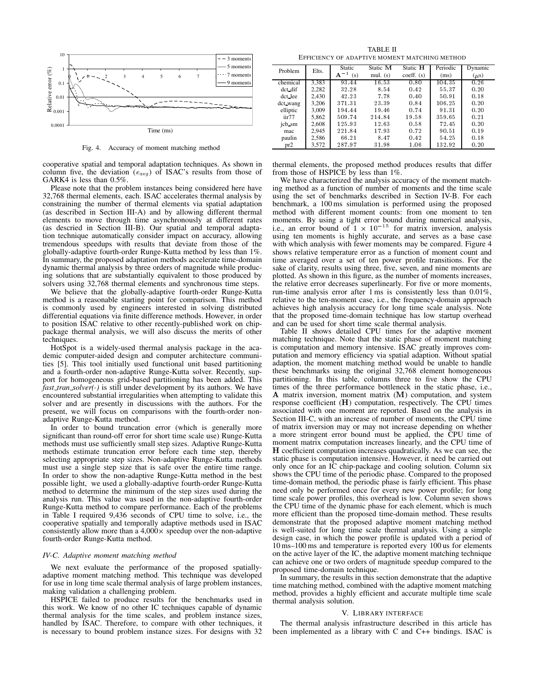

Fig. 4. Accuracy of moment matching method

cooperative spatial and temporal adaptation techniques. As shown in column five, the deviation  $(e_{avg})$  of ISAC's results from those of GARK4 is less than 0.5%.

Please note that the problem instances being considered here have 32,768 thermal elements, each. ISAC accelerates thermal analysis by constraining the number of thermal elements via spatial adaptation (as described in Section III-A) and by allowing different thermal elements to move through time asynchronously at different rates (as descried in Section III-B). Our spatial and temporal adaptation technique automatically consider impact on accuracy, allowing tremendous speedups with results that deviate from those of the globally-adaptive fourth-order Runge-Kutta method by less than 1%. In summary, the proposed adaptation methods accelerate time-domain dynamic thermal analysis by three orders of magnitude while producing solutions that are substantially equivalent to those produced by solvers using 32,768 thermal elements and synchronous time steps.

We believe that the globally-adaptive fourth-order Runge-Kutta method is a reasonable starting point for comparison. This method is commonly used by engineers interested in solving distributed differential equations via finite difference methods. However, in order to position ISAC relative to other recently-published work on chippackage thermal analysis, we will also discuss the merits of other techniques.

HotSpot is a widely-used thermal analysis package in the academic computer-aided design and computer architecture communities [5]. This tool initially used functional unit based partitioning and a fourth-order non-adaptive Runge-Kutta solver. Recently, support for homogeneous grid-based partitioning has been added. This *fast tran solver()* is still under development by its authors. We have encountered substantial irregularities when attempting to validate this solver and are presently in discussions with the authors. For the present, we will focus on comparisons with the fourth-order nonadaptive Runge-Kutta method.

In order to bound truncation error (which is generally more significant than round-off error for short time scale use) Runge-Kutta methods must use sufficiently small step sizes. Adaptive Runge-Kutta methods estimate truncation error before each time step, thereby selecting appropriate step sizes. Non-adaptive Runge-Kutta methods must use a single step size that is safe over the entire time range. In order to show the non-adaptive Runge-Kutta method in the best possible light, we used a globally-adaptive fourth-order Runge-Kutta method to determine the minimum of the step sizes used during the analysis run. This value was used in the non-adaptive fourth-order Runge-Kutta method to compare performance. Each of the problems in Table I required 9,436 seconds of CPU time to solve, i.e., the cooperative spatially and temporally adaptive methods used in ISAC consistently allow more than a  $4,000 \times$  speedup over the non-adaptive fourth-order Runge-Kutta method.

## *IV-C. Adaptive moment matching method*

We next evaluate the performance of the proposed spatiallyadaptive moment matching method. This technique was developed for use in long time scale thermal analysis of large problem instances, making validation a challenging problem.

HSPICE failed to produce results for the benchmarks used in this work. We know of no other IC techniques capable of dynamic thermal analysis for the time scales, and problem instance sizes, handled by ISAC. Therefore, to compare with other techniques, it is necessary to bound problem instance sizes. For designs with 32

TABLE II EFFICIENCY OF ADAPTIVE MOMENT MATCHING METHOD

| Problem  | Elts. | <b>Static</b> | Static M   | Static H     | Periodic | Dynamic   |
|----------|-------|---------------|------------|--------------|----------|-----------|
|          |       | (s)<br>A      | $mul.$ (s) | $coeff.$ (s) | (ms)     | $(\mu s)$ |
| chemical | 3.383 | 93.44         | 16.53      | 0.80         | 104.35   | 0.26      |
| det dif  | 2.282 | 32.28         | 8.54       | 0.42         | 55.37    | 0.20      |
| dct_lee  | 2.430 | 42.23         | 7.78       | 0.40         | 50.91    | 0.18      |
| dct_wang | 3.206 | 371.31        | 23.39      | 0.84         | 106.25   | 0.20      |
| elliptic | 3.009 | 194.44        | 19.46      | 0.74         | 91.31    | 0.20      |
| iir77    | 5.862 | 509.74        | 214.84     | 19.58        | 359.65   | 0.21      |
| jcb sm   | 2.608 | 125.93        | 12.63      | 0.58         | 72.45    | 0.20      |
| mac      | 2.945 | 221.84        | 17.93      | 0.72         | 90.51    | 0.19      |
| paulin   | 2.586 | 66.21         | 8.47       | 0.42         | 54.25    | 0.18      |
| pr2      | 3.572 | 287.97        | 31.98      | 1.06         | 132.92   | 0.20      |

thermal elements, the proposed method produces results that differ from those of HSPICE by less than 1%.

We have characterized the analysis accuracy of the moment matching method as a function of number of moments and the time scale using the set of benchmarks described in Section IV-B. For each benchmark, a 100 ms simulation is performed using the proposed method with different moment counts: from one moment to ten moments. By using a tight error bound during numerical analysis, i.e., an error bound of  $1 \times 10^{-15}$  for matrix inversion, analysis using ten moments is highly accurate, and serves as a base case with which analysis with fewer moments may be compared. Figure 4 shows relative temperature error as a function of moment count and time averaged over a set of ten power profile transitions. For the sake of clarity, results using three, five, seven, and nine moments are plotted. As shown in this figure, as the number of moments increases, the relative error decreases superlinearly. For five or more moments, run-time analysis error after 1 ms is consistently less than 0.01%, relative to the ten-moment case, i.e., the frequency-domain approach achieves high analysis accuracy for long time scale analysis. Note that the proposed time-domain technique has low startup overhead and can be used for short time scale thermal analysis.

Table II shows detailed CPU times for the adaptive moment matching technique. Note that the static phase of moment matching is computation and memory intensive. ISAC greatly improves computation and memory efficiency via spatial adaption. Without spatial adaption, the moment matching method would be unable to handle these benchmarks using the original 32,768 element homogeneous partitioning. In this table, columns three to five show the CPU times of the three performance bottleneck in the static phase, i.e., <sup>A</sup> matrix inversion, moment matrix (M) computation, and system response coefficient (H) computation, respectively. The CPU times associated with one moment are reported. Based on the analysis in Section III-C, with an increase of number of moments, the CPU time of matrix inversion may or may not increase depending on whether a more stringent error bound must be applied, the CPU time of moment matrix computation increases linearly, and the CPU time of <sup>H</sup> coefficient computation increases quadratically. As we can see, the static phase is computation intensive. However, it need be carried out only once for an IC chip-package and cooling solution. Column six shows the CPU time of the periodic phase. Compared to the proposed time-domain method, the periodic phase is fairly efficient. This phase need only be performed once for every new power profile; for long time scale power profiles, this overhead is low. Column seven shows the CPU time of the dynamic phase for each element, which is much more efficient than the proposed time-domain method. These results demonstrate that the proposed adaptive moment matching method is well-suited for long time scale thermal analysis. Using a simple design case, in which the power profile is updated with a period of 10 ms–100 ms and temperature is reported every 100 us for elements on the active layer of the IC, the adaptive moment matching technique can achieve one or two orders of magnitude speedup compared to the proposed time-domain technique.

In summary, the results in this section demonstrate that the adaptive time matching method, combined with the adaptive moment matching method, provides a highly efficient and accurate multiple time scale thermal analysis solution.

## V. LIBRARY INTERFACE

The thermal analysis infrastructure described in this article has been implemented as a library with C and C++ bindings. ISAC is